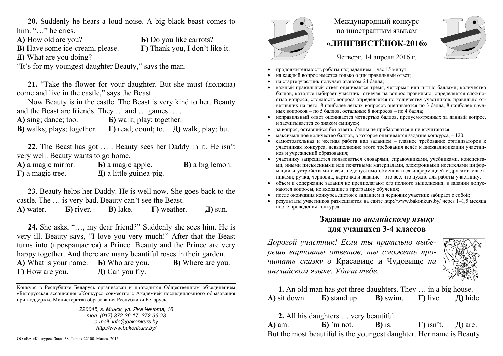**20.** Suddenly he hears a loud noise. A big black beast comes to him. "…" he cries.

**Б)** Do you like carrots?

**Г)** Thank you, I don't like it.

**А)** How old are you?

**В)** Have some ice-cream, please.

**Д)** What are you doing?

"It's for my youngest daughter Beauty," says the man.

**21.** "Take the flower for your daughter. But she must (должна) come and live in the castle," says the Beast.

Now Beauty is in the castle. The Beast is very kind to her. Beauty and the Beast are friends. They … and … games … .

**А)** sing; dance; too. **Б)** walk; play; together.

**В)** walks; plays; together. **Г)** read; count; to. **Д)** walk; play; but.

**22.** The Beast has got … . Beauty sees her Daddy in it. He isn't very well. Beauty wants to go home.

**А)** a magic mirror. **Б)** a magic apple. **В)** a big lemon. **Г)** a magic tree. **Д)** a little guinea-pig.

**23**. Beauty helps her Daddy. He is well now. She goes back to the castle. The … is very bad. Beauty can't see the Beast.

**А)** water. **Б)** river. **В)** lake. **Г)** weather. **Д)** sun.

**24.** She asks, "…, my dear friend?" Suddenly she sees him. He is very ill. Beauty says, "I love you very much!" After that the Beast turns into (превращается) a Prince. Beauty and the Prince are very happy together. And there are many beautiful roses in their garden. **А)** What is your name. **Б)** Who are you. **В)** Where are you. **Г)** How are you. **Д)** Can you fly.

Конкурс <sup>в</sup> Республике Беларусь организован <sup>и</sup> проводится Общественным объединением «Белорусская ассоциация «Конкурс» совместно <sup>с</sup> Академией последипломного образования при поддержке Министерства образования Республики Беларусь.

> *220045, <sup>г</sup>. Минск, ул. Яна Чечота, 16 тел. (017) 372-36-17, 372-36-23 e-mail: info@bakonkurs.by http://www.bakonkurs.by/*



## Международный конкурс по иностранным языкам **«ЛИНГВИСТЁНОК-2016»**



Четверг, 14 апреля 2016 г.

- . продолжительность работы над заданием 1 час 15 минут;
- . на каждый вопрос имеется только один правильный ответ;
- . на старте участник получает авансом 24 балла;
- . каждый правильный ответ оценивается тремя, четырьмя или пятью баллами; количество баллов, которые набирает участник, отвечая на вопрос правильно, определяется сложностью вопроса; сложность вопроса определяется по количеству участников, правильно ответивших на него; 8 наиболее лёгких вопросов оцениваются по 3 балла, 8 наиболее трудных вопросов – по 5 баллов, остальные 8 вопросов – по 4 балла;
- . неправильный ответ оценивается четвертью баллов, предусмотренных за данный вопрос, и засчитывается со знаком «минус»;
- . за вопрос, оставшийся без ответа, баллы не прибавляются <sup>и</sup> не вычитаются;
- . • максимальное количество баллов, в которое оценивается задание конкурса,  $-120$ ;
- ۰ самостоятельная и честная работа над заданием – главное требование организаторов <sup>к</sup> участникам конкурса; невыполнение этого требования ведёт <sup>к</sup> дисквалификации участников и учреждений образования;
- ۰ участнику запрещается пользоваться словарями, справочниками, учебниками, конспектами, иными письменными или печатными материалами, электронными носителями информации <sup>и</sup> устройствами связи; недопустимо обмениваться информацией <sup>с</sup> другими участниками; ручка, черновик, карточка <sup>и</sup> задание – это всё, что нужно для работы участнику;
- объём <sup>и</sup> содержание задания не предполагают его полного выполнения; <sup>в</sup> задании допускаются вопросы, не входящие <sup>в</sup> программу обучения;
- ۰ после окончания конкурса листок <sup>с</sup> заданием <sup>и</sup> черновик участник забирает <sup>с</sup> собой;
- ٠ результаты участников размещаются на сайте http://www.bakonkurs.by/ через 1–1,5 месяца после проведения конкурса.

## **Задание по** *английскому языку* **для учащихся 3-4 классов**

*Дорогой участник! Если ты правильно выберешь варианты ответов, ты сможешь прочитать сказку о* Красавиц<sup>e</sup> и Чудовище *на английском языке. Удачи тебе.*



**1.** An old man has got three daughters. They … in a big house. **А)** sit down. **Б)** stand up. **В)** swim. **Г)** live. **Д)** hide.

**2.** All his daughters … very beautiful. **А)** am. **Б)** 'm not. **B)** is. **Г)** isn't. **Д**) are. ОО «БА «Конкурс». Заказ 38. Тираж 22100. Минск. 2016 г.<br>
Вut the most beautiful is the youngest daughter. Her name is Beauty.